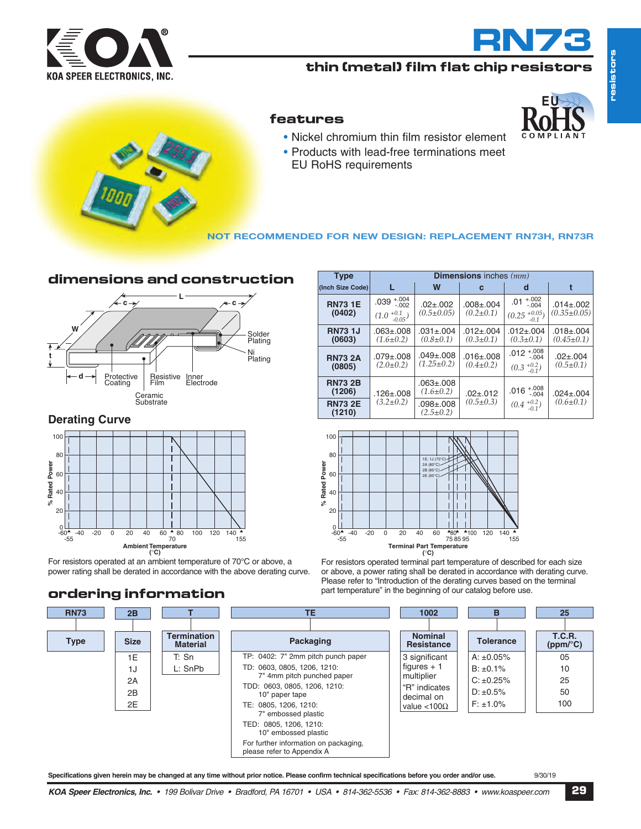



### **thin (metal) film flat chip resistors**

# **features** • Nickel chromium thin film resistor element • Products with lead-free terminations meet EU RoHS requirements

#### **NOT RECOMMENDED FOR NEW DESIGN: REPLACEMENT RN73H, RN73R**

#### **dimensions and construction**



#### **(1210) Derating Curve**



For resistors operated at an ambient temperature of 70°C or above, a power rating shall be derated in accordance with the above derating curve.

| <b>Type</b>              | <b>Dimensions</b> inches $(mm)$                       |                                                                        |                                    |                                              |                                      |  |  |  |
|--------------------------|-------------------------------------------------------|------------------------------------------------------------------------|------------------------------------|----------------------------------------------|--------------------------------------|--|--|--|
| (Inch Size Code)         | L                                                     | W                                                                      | c                                  | d                                            |                                      |  |  |  |
| <b>RN731E</b><br>(0402)  | $.039 + .004$<br>$-.002$<br>$(1.0 + 0.1)$<br>$-0.05'$ | $.02 \pm .002$<br>$(0.5 \pm 0.05)$                                     | $.008 \pm .004$<br>$(0.2 \pm 0.1)$ | $+.002$<br>.01<br>$-.004$<br>$(0.25 + 0.05)$ | $.014 \pm .002$<br>$(0.35 \pm 0.05)$ |  |  |  |
| <b>RN731J</b><br>(0603)  | $.063 \pm .008$<br>$(1.6 \pm 0.2)$                    | $.031 + .004$<br>$.012 \pm .004$<br>$(0.8 \pm 0.1)$<br>$(0.3 \pm 0.1)$ |                                    | $.012 \pm .004$<br>$(0.3 \pm 0.1)$           | $.018 \pm .004$<br>$(0.45 \pm 0.1)$  |  |  |  |
| <b>RN73 2A</b><br>(0805) | $.079 \pm .008$<br>$(2.0 \pm 0.2)$                    | $.049 \pm .008$<br>$(1.25 \pm 0.2)$                                    | $.016 \pm .008$<br>$(0.4 \pm 0.2)$ | .012 $^{+.008}_{-.004}$<br>$(0.3 + 0.2)$     | $.02 \pm .004$<br>$(0.5 \pm 0.1)$    |  |  |  |
| <b>RN73 2B</b><br>(1206) | .126±.008                                             | $.063 + .008$<br>$(1.6 \pm 0.2)$                                       | $.02 \pm .012$                     | .016 $^{+.008}_{-.004}$                      | $.024 \pm .004$                      |  |  |  |
| <b>RN73 2E</b><br>(1210) | $(3.2 \pm 0.2)$                                       | $.098 \pm .008$<br>$(2.5 \pm 0.2)$                                     | $(0.5 \pm 0.3)$                    | $(0.4 + 0.2)$                                | $(0.6 \pm 0.1)$                      |  |  |  |



For resistors operated terminal part temperature of described for each size or above, a power rating shall be derated in accordance with derating curve. Please refer to "Introduction of the derating curves based on the terminal part temperature" in the beginning of our catalog before use.



Specifications given herein may be changed at any time without prior notice. Please confirm technical specifications before you order and/or use. 9/30/19

**EU**

**re sis t o r s**

#### KOA Speer Electronics, Inc. • 199 Bolivar Drive • Bradford, PA 16701 • USA • 814-362-5536 • Fax: 814-362-8883 • www.koaspeer.com 29